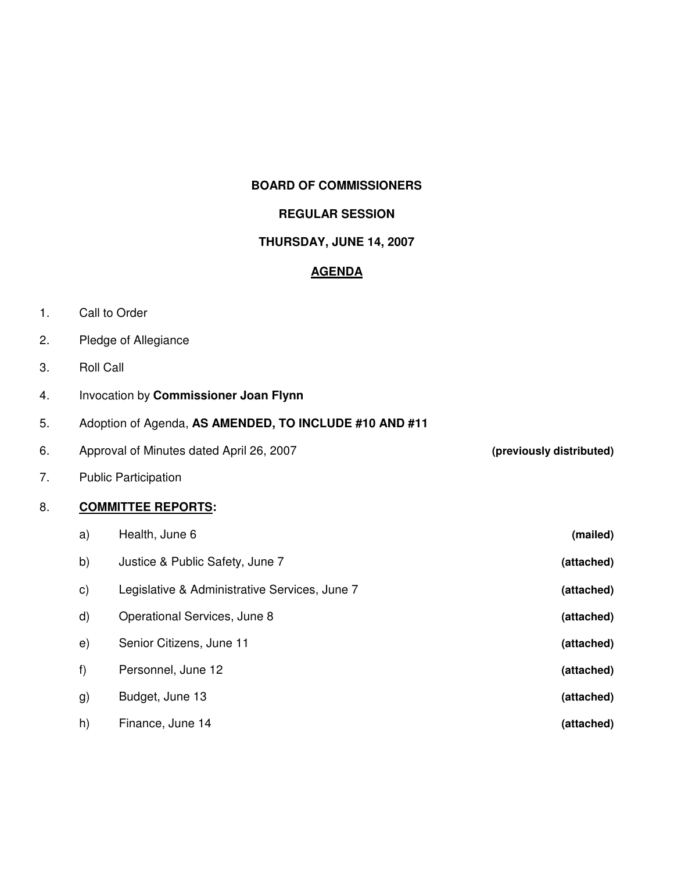#### **BOARD OF COMMISSIONERS**

#### **REGULAR SESSION**

### **THURSDAY, JUNE 14, 2007**

### **AGENDA**

- 1. Call to Order
- 2. Pledge of Allegiance
- 3. Roll Call
- 4. Invocation by **Commissioner Joan Flynn**

## 5. Adoption of Agenda, **AS AMENDED, TO INCLUDE #10 AND #11**

- 6. Approval of Minutes dated April 26, 2007 **(previously distributed)**
- 7. Public Participation

### 8. **COMMITTEE REPORTS:**

| a)           | Health, June 6                                | (mailed)   |
|--------------|-----------------------------------------------|------------|
| b)           | Justice & Public Safety, June 7               | (attached) |
| C)           | Legislative & Administrative Services, June 7 | (attached) |
| $\mathsf{d}$ | Operational Services, June 8                  | (attached) |
| $\epsilon$   | Senior Citizens, June 11                      | (attached) |
| f)           | Personnel, June 12                            | (attached) |
| g)           | Budget, June 13                               | (attached) |
| h)           | Finance, June 14                              | (attached) |